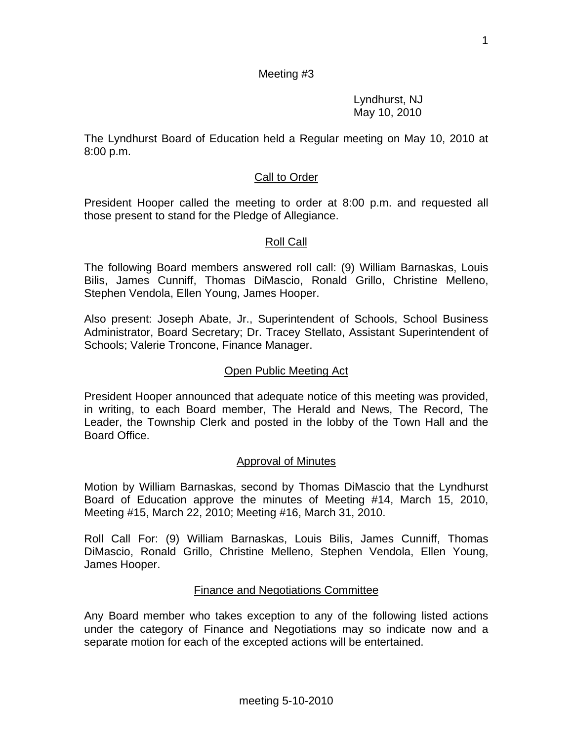## Meeting #3

 Lyndhurst, NJ May 10, 2010

The Lyndhurst Board of Education held a Regular meeting on May 10, 2010 at 8:00 p.m.

### Call to Order

President Hooper called the meeting to order at 8:00 p.m. and requested all those present to stand for the Pledge of Allegiance.

### Roll Call

The following Board members answered roll call: (9) William Barnaskas, Louis Bilis, James Cunniff, Thomas DiMascio, Ronald Grillo, Christine Melleno, Stephen Vendola, Ellen Young, James Hooper.

Also present: Joseph Abate, Jr., Superintendent of Schools, School Business Administrator, Board Secretary; Dr. Tracey Stellato, Assistant Superintendent of Schools; Valerie Troncone, Finance Manager.

### Open Public Meeting Act

President Hooper announced that adequate notice of this meeting was provided, in writing, to each Board member, The Herald and News, The Record, The Leader, the Township Clerk and posted in the lobby of the Town Hall and the Board Office.

### Approval of Minutes

Motion by William Barnaskas, second by Thomas DiMascio that the Lyndhurst Board of Education approve the minutes of Meeting #14, March 15, 2010, Meeting #15, March 22, 2010; Meeting #16, March 31, 2010.

Roll Call For: (9) William Barnaskas, Louis Bilis, James Cunniff, Thomas DiMascio, Ronald Grillo, Christine Melleno, Stephen Vendola, Ellen Young, James Hooper.

### Finance and Negotiations Committee

Any Board member who takes exception to any of the following listed actions under the category of Finance and Negotiations may so indicate now and a separate motion for each of the excepted actions will be entertained.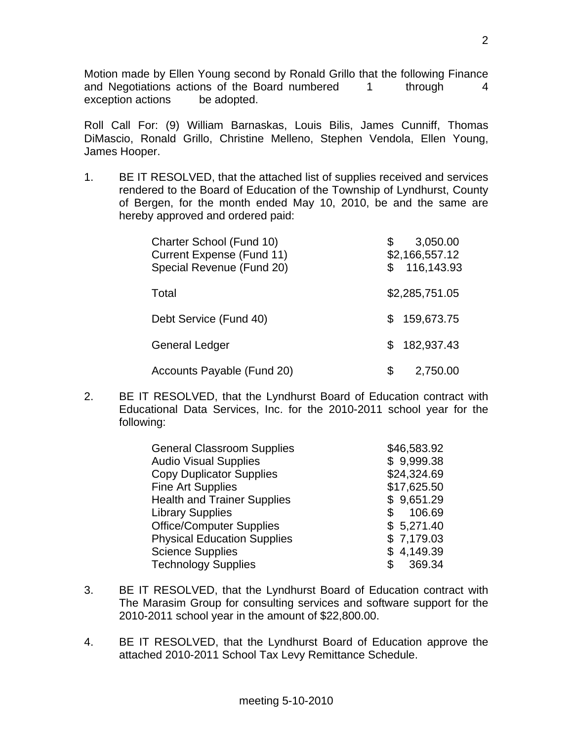Motion made by Ellen Young second by Ronald Grillo that the following Finance and Negotiations actions of the Board numbered 1 through 4 exception actions be adopted.

Roll Call For: (9) William Barnaskas, Louis Bilis, James Cunniff, Thomas DiMascio, Ronald Grillo, Christine Melleno, Stephen Vendola, Ellen Young, James Hooper.

1. BE IT RESOLVED, that the attached list of supplies received and services rendered to the Board of Education of the Township of Lyndhurst, County of Bergen, for the month ended May 10, 2010, be and the same are hereby approved and ordered paid:

| Charter School (Fund 10)<br><b>Current Expense (Fund 11)</b><br>Special Revenue (Fund 20) | \$<br>$\mathbb{S}$ | 3,050.00<br>\$2,166,557.12<br>116,143.93 |
|-------------------------------------------------------------------------------------------|--------------------|------------------------------------------|
| Total                                                                                     |                    | \$2,285,751.05                           |
| Debt Service (Fund 40)                                                                    | SS.                | 159,673.75                               |
| <b>General Ledger</b>                                                                     |                    | 182,937.43                               |
| Accounts Payable (Fund 20)                                                                | \$                 | 2,750.00                                 |

2. BE IT RESOLVED, that the Lyndhurst Board of Education contract with Educational Data Services, Inc. for the 2010-2011 school year for the following:

| \$46,583.92    |
|----------------|
| \$9,999.38     |
| \$24,324.69    |
| \$17,625.50    |
| \$9,651.29     |
| 106.69         |
| \$5,271.40     |
| \$7,179.03     |
| 4,149.39<br>S. |
| 369.34         |
|                |

- 3. BE IT RESOLVED, that the Lyndhurst Board of Education contract with The Marasim Group for consulting services and software support for the 2010-2011 school year in the amount of \$22,800.00.
- 4. BE IT RESOLVED, that the Lyndhurst Board of Education approve the attached 2010-2011 School Tax Levy Remittance Schedule.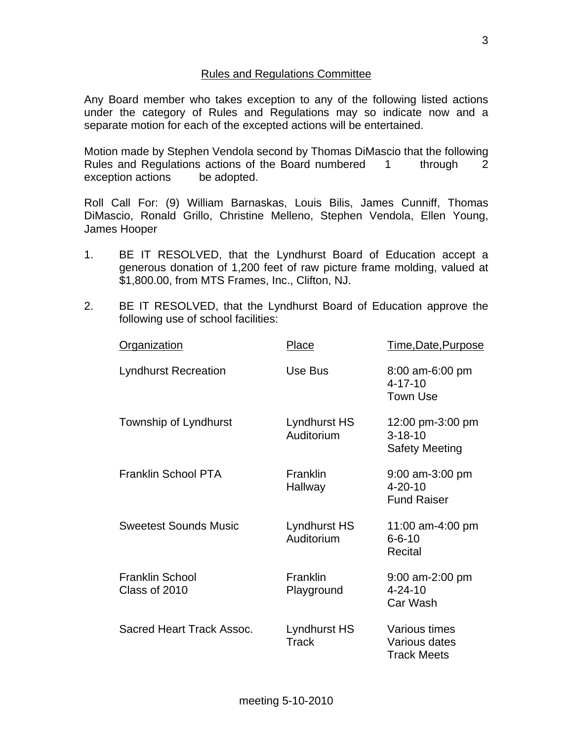## Rules and Regulations Committee

Any Board member who takes exception to any of the following listed actions under the category of Rules and Regulations may so indicate now and a separate motion for each of the excepted actions will be entertained.

Motion made by Stephen Vendola second by Thomas DiMascio that the following Rules and Regulations actions of the Board numbered 1 through 2 exception actions be adopted.

Roll Call For: (9) William Barnaskas, Louis Bilis, James Cunniff, Thomas DiMascio, Ronald Grillo, Christine Melleno, Stephen Vendola, Ellen Young, James Hooper

- 1. BE IT RESOLVED, that the Lyndhurst Board of Education accept a generous donation of 1,200 feet of raw picture frame molding, valued at \$1,800.00, from MTS Frames, Inc., Clifton, NJ.
- 2. BE IT RESOLVED, that the Lyndhurst Board of Education approve the following use of school facilities:

| <b>Organization</b>                     | Place                        | <u>Time,Date,Purpose</u>                                   |
|-----------------------------------------|------------------------------|------------------------------------------------------------|
| <b>Lyndhurst Recreation</b>             | Use Bus                      | 8:00 am-6:00 pm<br>$4 - 17 - 10$<br><b>Town Use</b>        |
| Township of Lyndhurst                   | Lyndhurst HS<br>Auditorium   | 12:00 pm-3:00 pm<br>$3 - 18 - 10$<br><b>Safety Meeting</b> |
| <b>Franklin School PTA</b>              | <b>Franklin</b><br>Hallway   | $9:00$ am-3:00 pm<br>$4 - 20 - 10$<br><b>Fund Raiser</b>   |
| <b>Sweetest Sounds Music</b>            | Lyndhurst HS<br>Auditorium   | 11:00 am-4:00 pm<br>$6 - 6 - 10$<br>Recital                |
| <b>Franklin School</b><br>Class of 2010 | Franklin<br>Playground       | 9:00 am-2:00 pm<br>$4 - 24 - 10$<br>Car Wash               |
| Sacred Heart Track Assoc.               | Lyndhurst HS<br><b>Track</b> | Various times<br>Various dates<br><b>Track Meets</b>       |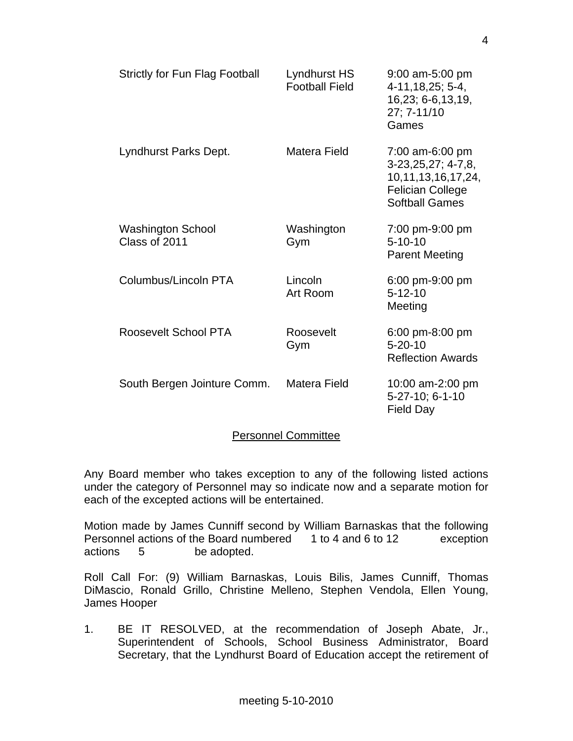| <b>Strictly for Fun Flag Football</b>     | Lyndhurst HS<br><b>Football Field</b> | 9:00 am-5:00 pm<br>$4-11, 18, 25; 5-4,$<br>16,23; 6-6,13,19,<br>27; 7-11/10<br>Games                                   |
|-------------------------------------------|---------------------------------------|------------------------------------------------------------------------------------------------------------------------|
| Lyndhurst Parks Dept.                     | Matera Field                          | 7:00 am-6:00 pm<br>$3-23,25,27; 4-7,8,$<br>10, 11, 13, 16, 17, 24,<br><b>Felician College</b><br><b>Softball Games</b> |
| <b>Washington School</b><br>Class of 2011 | Washington<br>Gym                     | 7:00 pm-9:00 pm<br>$5 - 10 - 10$<br><b>Parent Meeting</b>                                                              |
| Columbus/Lincoln PTA                      | Lincoln<br>Art Room                   | 6:00 pm-9:00 pm<br>$5 - 12 - 10$<br>Meeting                                                                            |
| Roosevelt School PTA                      | Roosevelt<br>Gym                      | 6:00 pm-8:00 pm<br>$5 - 20 - 10$<br><b>Reflection Awards</b>                                                           |
| South Bergen Jointure Comm.               | Matera Field                          | 10:00 am-2:00 pm<br>5-27-10; 6-1-10<br><b>Field Day</b>                                                                |

## Personnel Committee

Any Board member who takes exception to any of the following listed actions under the category of Personnel may so indicate now and a separate motion for each of the excepted actions will be entertained.

Motion made by James Cunniff second by William Barnaskas that the following Personnel actions of the Board numbered 1 to 4 and 6 to 12 exception actions 5 be adopted.

Roll Call For: (9) William Barnaskas, Louis Bilis, James Cunniff, Thomas DiMascio, Ronald Grillo, Christine Melleno, Stephen Vendola, Ellen Young, James Hooper

1. BE IT RESOLVED, at the recommendation of Joseph Abate, Jr., Superintendent of Schools, School Business Administrator, Board Secretary, that the Lyndhurst Board of Education accept the retirement of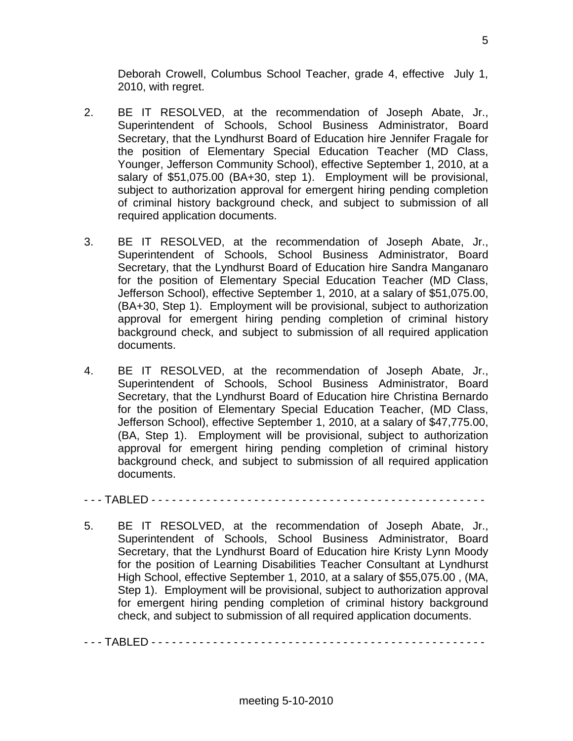Deborah Crowell, Columbus School Teacher, grade 4, effective July 1, 2010, with regret.

- 2. BE IT RESOLVED, at the recommendation of Joseph Abate, Jr., Superintendent of Schools, School Business Administrator, Board Secretary, that the Lyndhurst Board of Education hire Jennifer Fragale for the position of Elementary Special Education Teacher (MD Class, Younger, Jefferson Community School), effective September 1, 2010, at a salary of \$51,075.00 (BA+30, step 1). Employment will be provisional, subject to authorization approval for emergent hiring pending completion of criminal history background check, and subject to submission of all required application documents.
- 3. BE IT RESOLVED, at the recommendation of Joseph Abate, Jr., Superintendent of Schools, School Business Administrator, Board Secretary, that the Lyndhurst Board of Education hire Sandra Manganaro for the position of Elementary Special Education Teacher (MD Class, Jefferson School), effective September 1, 2010, at a salary of \$51,075.00, (BA+30, Step 1). Employment will be provisional, subject to authorization approval for emergent hiring pending completion of criminal history background check, and subject to submission of all required application documents.
- 4. BE IT RESOLVED, at the recommendation of Joseph Abate, Jr., Superintendent of Schools, School Business Administrator, Board Secretary, that the Lyndhurst Board of Education hire Christina Bernardo for the position of Elementary Special Education Teacher, (MD Class, Jefferson School), effective September 1, 2010, at a salary of \$47,775.00, (BA, Step 1). Employment will be provisional, subject to authorization approval for emergent hiring pending completion of criminal history background check, and subject to submission of all required application documents.

- - - TABLED - - - - - - - - - - - - - - - - - - - - - - - - - - - - - - - - - - - - - - - - - - - - - - - - -

5. BE IT RESOLVED, at the recommendation of Joseph Abate, Jr., Superintendent of Schools, School Business Administrator, Board Secretary, that the Lyndhurst Board of Education hire Kristy Lynn Moody for the position of Learning Disabilities Teacher Consultant at Lyndhurst High School, effective September 1, 2010, at a salary of \$55,075.00 , (MA, Step 1). Employment will be provisional, subject to authorization approval for emergent hiring pending completion of criminal history background check, and subject to submission of all required application documents.

- - - TABLED - - - - - - - - - - - - - - - - - - - - - - - - - - - - - - - - - - - - - - - - - - - - - - - - -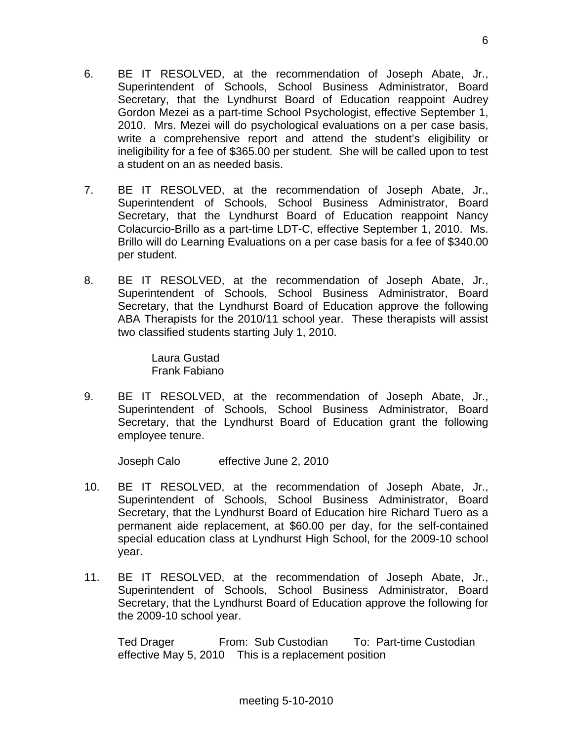- 6. BE IT RESOLVED, at the recommendation of Joseph Abate, Jr., Superintendent of Schools, School Business Administrator, Board Secretary, that the Lyndhurst Board of Education reappoint Audrey Gordon Mezei as a part-time School Psychologist, effective September 1, 2010. Mrs. Mezei will do psychological evaluations on a per case basis, write a comprehensive report and attend the student's eligibility or ineligibility for a fee of \$365.00 per student. She will be called upon to test a student on an as needed basis.
- 7. BE IT RESOLVED, at the recommendation of Joseph Abate, Jr., Superintendent of Schools, School Business Administrator, Board Secretary, that the Lyndhurst Board of Education reappoint Nancy Colacurcio-Brillo as a part-time LDT-C, effective September 1, 2010. Ms. Brillo will do Learning Evaluations on a per case basis for a fee of \$340.00 per student.
- 8. BE IT RESOLVED, at the recommendation of Joseph Abate, Jr., Superintendent of Schools, School Business Administrator, Board Secretary, that the Lyndhurst Board of Education approve the following ABA Therapists for the 2010/11 school year. These therapists will assist two classified students starting July 1, 2010.

 Laura Gustad Frank Fabiano

9. BE IT RESOLVED, at the recommendation of Joseph Abate, Jr., Superintendent of Schools, School Business Administrator, Board Secretary, that the Lyndhurst Board of Education grant the following employee tenure.

Joseph Calo effective June 2, 2010

- 10. BE IT RESOLVED, at the recommendation of Joseph Abate, Jr., Superintendent of Schools, School Business Administrator, Board Secretary, that the Lyndhurst Board of Education hire Richard Tuero as a permanent aide replacement, at \$60.00 per day, for the self-contained special education class at Lyndhurst High School, for the 2009-10 school year.
- 11. BE IT RESOLVED, at the recommendation of Joseph Abate, Jr., Superintendent of Schools, School Business Administrator, Board Secretary, that the Lyndhurst Board of Education approve the following for the 2009-10 school year.

Ted Drager From: Sub Custodian To: Part-time Custodian effective May 5, 2010 This is a replacement position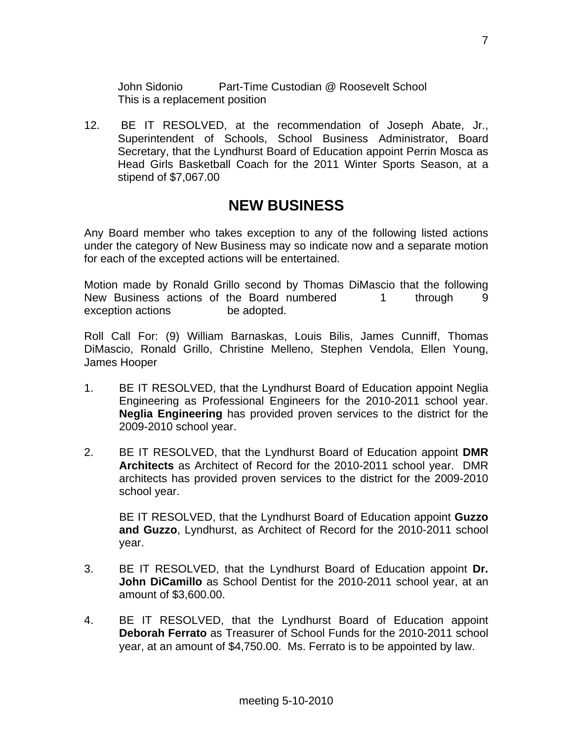John Sidonio Part-Time Custodian @ Roosevelt School This is a replacement position

12. BE IT RESOLVED, at the recommendation of Joseph Abate, Jr., Superintendent of Schools, School Business Administrator, Board Secretary, that the Lyndhurst Board of Education appoint Perrin Mosca as Head Girls Basketball Coach for the 2011 Winter Sports Season, at a stipend of \$7,067.00

# **NEW BUSINESS**

Any Board member who takes exception to any of the following listed actions under the category of New Business may so indicate now and a separate motion for each of the excepted actions will be entertained.

Motion made by Ronald Grillo second by Thomas DiMascio that the following New Business actions of the Board numbered 1 through 9 exception actions be adopted.

Roll Call For: (9) William Barnaskas, Louis Bilis, James Cunniff, Thomas DiMascio, Ronald Grillo, Christine Melleno, Stephen Vendola, Ellen Young, James Hooper

- 1. BE IT RESOLVED, that the Lyndhurst Board of Education appoint Neglia Engineering as Professional Engineers for the 2010-2011 school year. **Neglia Engineering** has provided proven services to the district for the 2009-2010 school year.
- 2. BE IT RESOLVED, that the Lyndhurst Board of Education appoint **DMR Architects** as Architect of Record for the 2010-2011 school year. DMR architects has provided proven services to the district for the 2009-2010 school year.

 BE IT RESOLVED, that the Lyndhurst Board of Education appoint **Guzzo and Guzzo**, Lyndhurst, as Architect of Record for the 2010-2011 school year.

- 3. BE IT RESOLVED, that the Lyndhurst Board of Education appoint **Dr. John DiCamillo** as School Dentist for the 2010-2011 school year, at an amount of \$3,600.00.
- 4. BE IT RESOLVED, that the Lyndhurst Board of Education appoint **Deborah Ferrato** as Treasurer of School Funds for the 2010-2011 school year, at an amount of \$4,750.00. Ms. Ferrato is to be appointed by law.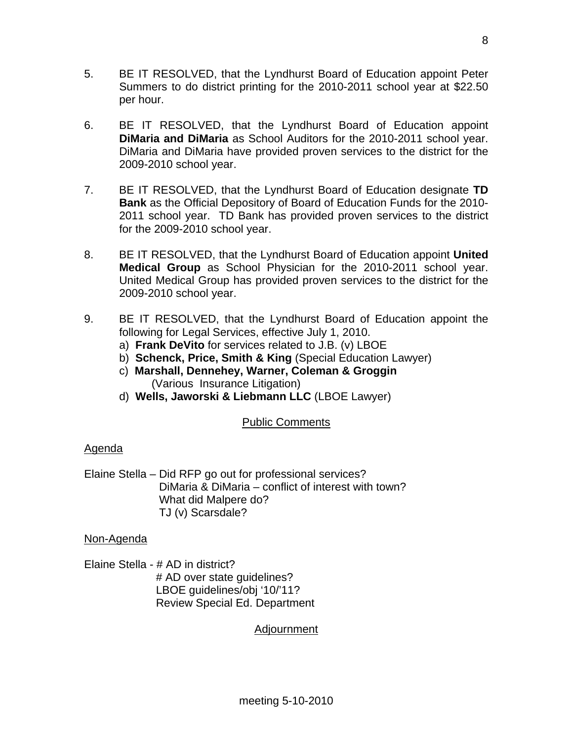- 5. BE IT RESOLVED, that the Lyndhurst Board of Education appoint Peter Summers to do district printing for the 2010-2011 school year at \$22.50 per hour.
- 6. BE IT RESOLVED, that the Lyndhurst Board of Education appoint **DiMaria and DiMaria** as School Auditors for the 2010-2011 school year. DiMaria and DiMaria have provided proven services to the district for the 2009-2010 school year.
- 7. BE IT RESOLVED, that the Lyndhurst Board of Education designate **TD Bank** as the Official Depository of Board of Education Funds for the 2010- 2011 school year. TD Bank has provided proven services to the district for the 2009-2010 school year.
- 8. BE IT RESOLVED, that the Lyndhurst Board of Education appoint **United Medical Group** as School Physician for the 2010-2011 school year. United Medical Group has provided proven services to the district for the 2009-2010 school year.
- 9. BE IT RESOLVED, that the Lyndhurst Board of Education appoint the following for Legal Services, effective July 1, 2010.
	- a) **Frank DeVito** for services related to J.B. (v) LBOE
	- b) **Schenck, Price, Smith & King** (Special Education Lawyer)
	- c) **Marshall, Dennehey, Warner, Coleman & Groggin** (Various Insurance Litigation)
	- d) **Wells, Jaworski & Liebmann LLC** (LBOE Lawyer)

# Public Comments

# Agenda

Elaine Stella – Did RFP go out for professional services? DiMaria & DiMaria – conflict of interest with town? What did Malpere do? TJ (v) Scarsdale?

## Non-Agenda

Elaine Stella - # AD in district? # AD over state quidelines? LBOE guidelines/obj '10/'11? Review Special Ed. Department

# Adjournment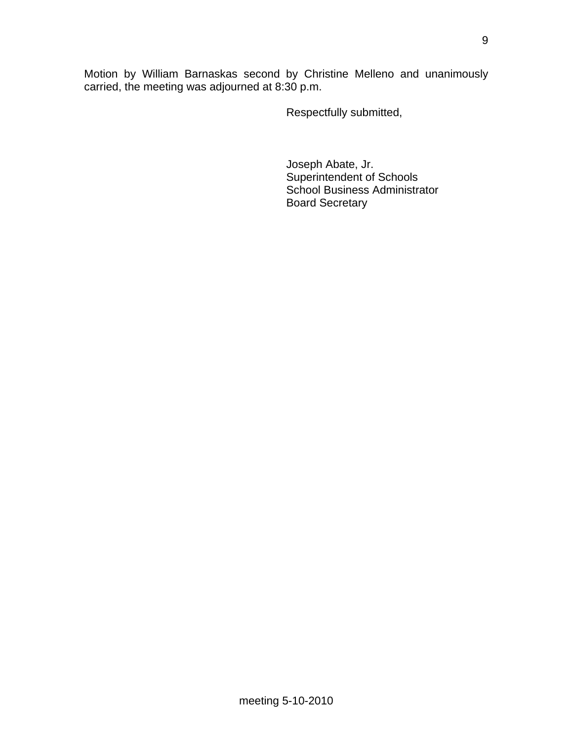Motion by William Barnaskas second by Christine Melleno and unanimously carried, the meeting was adjourned at 8:30 p.m.

Respectfully submitted,

 Joseph Abate, Jr. Superintendent of Schools School Business Administrator Board Secretary